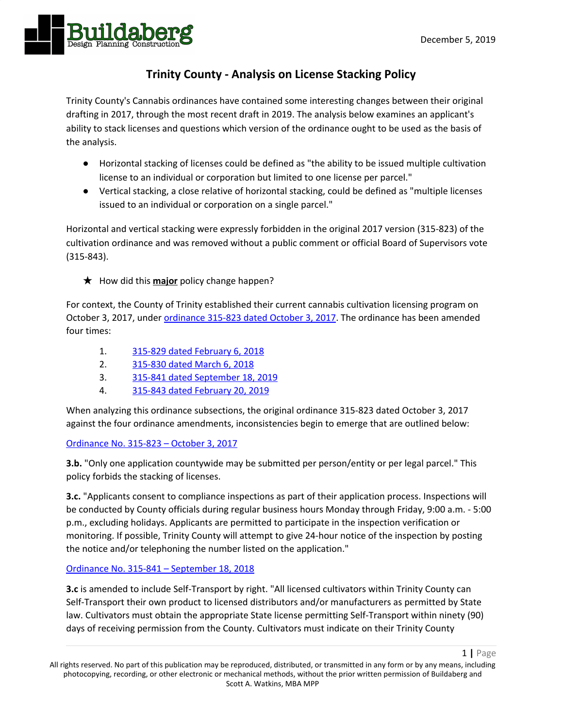1 **|** Page



# **Trinity County - Analysis on License Stacking Policy**

Trinity County's Cannabis ordinances have contained some interesting changes between their original drafting in 2017, through the most recent draft in 2019. The analysis below examines an applicant's ability to stack licenses and questions which version of the ordinance ought to be used as the basis of the analysis.

- Horizontal stacking of licenses could be defined as "the ability to be issued multiple cultivation license to an individual or corporation but limited to one license per parcel."
- Vertical stacking, a close relative of horizontal stacking, could be defined as "multiple licenses issued to an individual or corporation on a single parcel."

Horizontal and vertical stacking were expressly forbidden in the original 2017 version (315-823) of the cultivation ordinance and was removed without a public comment or official Board of Supervisors vote (315-843).

★ How did this **major** policy change happen?

For context, the County of Trinity established their current cannabis cultivation licensing program on October 3, 2017, under [ordinance](https://www.trinitycounty.org/sites/default/files/Planning/documents/315-823%20Cultivation_Regs.pdf) 315-823 dated October 3, 2017. The ordinance has been amended four times:

- 1. 315-829 dated [February](https://www.trinitycounty.org/sites/default/files/Planning/documents/315-829%20Cultivation_Amendment.pdf) 6, 2018
- 2. [315-830](https://www.trinitycounty.org/sites/default/files/Planning/documents/315-830%20Cultivation_Amendment.pdf) dated March 6, 2018
- 3. 315-841 dated [September](https://www.trinitycounty.org/sites/default/files/Planning/CANNABIS/315-841%20Cultivation%20Amendment.pdf) 18, 2019
- 4. 315-843 dated [February](https://www.trinitycounty.org/sites/default/files/Planning/CANNABIS/AMENDING%20TRINITY%20COUNTY%20CODE%20SECTION%2017.43%20REGARDING%20COMMERCIAL%20CANNABIS%20CULTIVATION%20315-843.pdf) 20, 2019

When analyzing this ordinance subsections, the original ordinance 315-823 dated October 3, 2017 against the four ordinance amendments, inconsistencies begin to emerge that are outlined below:

## [Ordinance](https://www.trinitycounty.org/sites/default/files/Planning/documents/315-823%20Cultivation_Regs.pdf) No. 315-823 – October 3, 2017

**3.b.** "Only one application countywide may be submitted per person/entity or per legal parcel." This policy forbids the stacking of licenses.

**3.c.** "Applicants consent to compliance inspections as part of their application process. Inspections will be conducted by County officials during regular business hours Monday through Friday, 9:00 a.m. - 5:00 p.m., excluding holidays. Applicants are permitted to participate in the inspection verification or monitoring. If possible, Trinity County will attempt to give 24-hour notice of the inspection by posting the notice and/or telephoning the number listed on the application."

## Ordinance No. 315-841 – [September](https://www.trinitycounty.org/sites/default/files/Planning/CANNABIS/315-841%20Cultivation%20Amendment.pdf) 18, 2018

**3.c** is amended to include Self-Transport by right. "All licensed cultivators within Trinity County can Self-Transport their own product to licensed distributors and/or manufacturers as permitted by State law. Cultivators must obtain the appropriate State license permitting Self-Transport within ninety (90) days of receiving permission from the County. Cultivators must indicate on their Trinity County